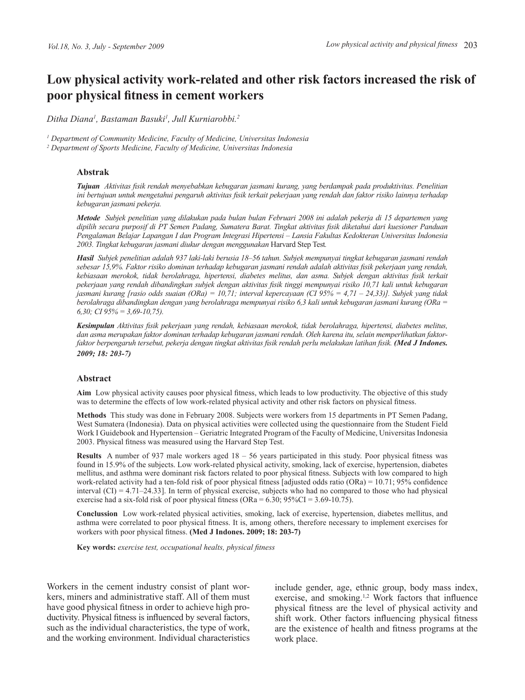# **Low physical activity work-related and other risk factors increased the risk of poor physical fitness in cement workers**

*Ditha Diana1 , Bastaman Basuki<sup>1</sup> , Jull Kurniarobbi.2*

*1 Department of Community Medicine, Faculty of Medicine, Universitas Indonesia* <sup>2</sup> Department of Sports Medicine, Faculty of Medicine, Universitas Indonesia

#### **Abstrak**

*Tujuan**Aktivitas fisik rendah menyebabkan kebugaran jasmani kurang, yang berdampak pada produktivitas. Penelitian ini bertujuan untuk mengetahui pengaruh aktivitas fisik terkait pekerjaan yang rendah dan faktor risiko lainnya terhadap kebugaran jasmani pekerja.*

*Metode Subjek penelitian yang dilakukan pada bulan bulan Februari 2008 ini adalah pekerja di 15 departemen yang dipilih secara purposif di PT Semen Padang, Sumatera Barat. Tingkat aktivitas fisik diketahui dari kuesioner Panduan Pengalaman Belajar Lapangan I dan Program Integrasi Hipertensi – Lansia Fakultas Kedokteran Universitas Indonesia 2003. Tingkat kebugaran jasmani diukur dengan menggunakan* Harvard Step Test*.*

*Hasil Subjek penelitian adalah 937 laki-laki berusia 18–56 tahun. Subjek mempunyai tingkat kebugaran jasmani rendah sebesar 15,9%. Faktor risiko dominan terhadap kebugaran jasmani rendah adalah aktivitas fisik pekerjaan yang rendah, kebiasaan merokok, tidak berolahraga, hipertensi, diabetes melitus, dan asma. Subjek dengan aktivitas fisik terkait pekerjaan yang rendah dibandingkan subjek dengan aktivitas fisik tinggi mempunyai risiko 10,71 kali untuk kebugaran jasmani kurang [rasio odds suaian (ORa) = 10,71; interval kepercayaan (CI 95% = 4,71 – 24,33)]. Subjek yang tidak berolahraga dibandingkan dengan yang berolahraga mempunyai risiko 6,3 kali untuk kebugaran jasmani kurang (ORa = 6,30; CI 95% = 3,69-10,75).*

*Kesimpulan Aktivitas fisik pekerjaan yang rendah, kebiasaan merokok, tidak berolahraga, hipertensi, diabetes melitus, dan asma merupakan faktor dominan terhadap kebugaran jasmani rendah. Oleh karena itu, selain memperlihatkan faktorfaktor berpengaruh tersebut, pekerja dengan tingkat aktivitas fisik rendah perlu melakukan latihan fisik. (Med J Indones. 2009; 18: 203-7)*

#### **Abstract**

**Aim** Low physical activity causes poor physical fitness, which leads to low productivity. The objective of this study was to determine the effects of low work-related physical activity and other risk factors on physical fitness.

**Methods** This study was done in February 2008. Subjects were workers from 15 departments in PT Semen Padang, West Sumatera (Indonesia). Data on physical activities were collected using the questionnaire from the Student Field Work I Guidebook and Hypertension – Geriatric Integrated Program of the Faculty of Medicine, Universitas Indonesia 2003. Physical fitness was measured using the Harvard Step Test.

**Results** A number of 937 male workers aged 18 – 56 years participated in this study. Poor physical fitness was found in 15.9% of the subjects. Low work-related physical activity, smoking, lack of exercise, hypertension, diabetes mellitus, and asthma were dominant risk factors related to poor physical fitness. Subjects with low compared to high work-related activity had a ten-fold risk of poor physical fitness [adjusted odds ratio (ORa) = 10.71; 95% confidence interval (CI) = 4.71–24.33]. In term of physical exercise, subjects who had no compared to those who had physical exercise had a six-fold risk of poor physical fitness (ORa =  $6.30$ ;  $95\%$ CI =  $3.69$ -10.75).

**Conclussion** Low work-related physical activities, smoking, lack of exercise, hypertension, diabetes mellitus, and asthma were correlated to poor physical fitness. It is, among others, therefore necessary to implement exercises for workers with poor physical fitness. **(Med J Indones. 2009; 18: 203-7)**

 **Key words:** *exercise test, occupational healts, physical fitness*

Workers in the cement industry consist of plant workers, miners and administrative staff. All of them must have good physical fitness in order to achieve high productivity. Physical fitness is influenced by several factors, such as the individual characteristics, the type of work, and the working environment. Individual characteristics include gender, age, ethnic group, body mass index, exercise, and smoking.1,2 Work factors that influence physical fitness are the level of physical activity and shift work. Other factors influencing physical fitness are the existence of health and fitness programs at the work place.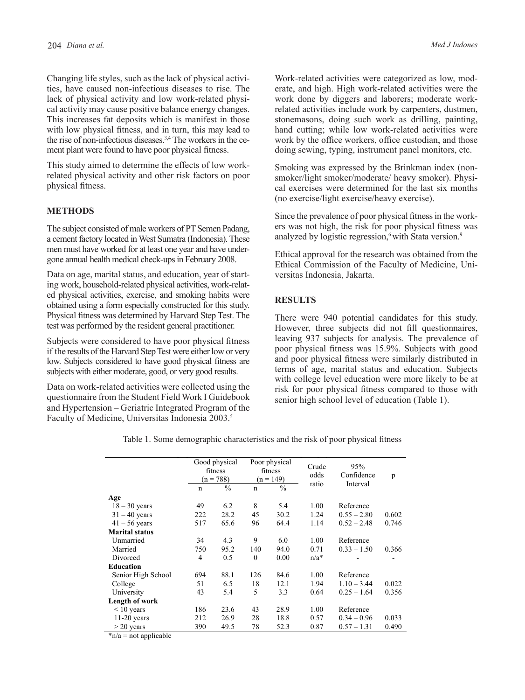Changing life styles, such as the lack of physical activities, have caused non-infectious diseases to rise. The lack of physical activity and low work-related physical activity may cause positive balance energy changes. This increases fat deposits which is manifest in those with low physical fitness, and in turn, this may lead to the rise of non-infectious diseases.<sup>3,4</sup> The workers in the cement plant were found to have poor physical fitness.

This study aimed to determine the effects of low workrelated physical activity and other risk factors on poor physical fitness.

# **METHODS**

The subject consisted of male workers of PT Semen Padang, a cement factory located in West Sumatra (Indonesia). These men must have worked for at least one year and have undergone annual health medical check-ups in February 2008.

Data on age, marital status, and education, year of starting work, household-related physical activities, work-related physical activities, exercise, and smoking habits were obtained using a form especially constructed for this study. Physical fitness was determined by Harvard Step Test. The test was performed by the resident general practitioner.

Subjects were considered to have poor physical fitness if the results of the Harvard Step Test were either low or very low. Subjects considered to have good physical fitness are subjects with either moderate, good, or very good results.

Data on work-related activities were collected using the questionnaire from the Student Field Work I Guidebook and Hypertension – Geriatric Integrated Program of the Faculty of Medicine, Universitas Indonesia 2003.5

Work-related activities were categorized as low, moderate, and high. High work-related activities were the work done by diggers and laborers; moderate workrelated activities include work by carpenters, dustmen, stonemasons, doing such work as drilling, painting, hand cutting; while low work-related activities were work by the office workers, office custodian, and those doing sewing, typing, instrument panel monitors, etc.

Smoking was expressed by the Brinkman index (nonsmoker/light smoker/moderate/ heavy smoker). Physical exercises were determined for the last six months (no exercise/light exercise/heavy exercise).

Since the prevalence of poor physical fitness in the workers was not high, the risk for poor physical fitness was analyzed by logistic regression, $6$  with Stata version. $9$ 

Ethical approval for the research was obtained from the Ethical Commission of the Faculty of Medicine, Universitas Indonesia, Jakarta.

# **RESULTS**

There were 940 potential candidates for this study. However, three subjects did not fill questionnaires, leaving 937 subjects for analysis. The prevalence of poor physical fitness was 15.9%. Subjects with good and poor physical fitness were similarly distributed in terms of age, marital status and education. Subjects with college level education were more likely to be at risk for poor physical fitness compared to those with senior high school level of education (Table 1).

|                                            | Good physical<br>fitness<br>$(n = 788)$ |               | Poor physical<br>fitness<br>$(n = 149)$ |               | Crude<br>odds | 95%<br>Confidence | p     |
|--------------------------------------------|-----------------------------------------|---------------|-----------------------------------------|---------------|---------------|-------------------|-------|
|                                            | n                                       | $\frac{0}{0}$ | $\mathbf n$                             | $\frac{0}{0}$ | ratio         | Interval          |       |
| Age                                        |                                         |               |                                         |               |               |                   |       |
| $18 - 30$ years                            | 49                                      | 6.2           | 8                                       | 5.4           | 1.00          | Reference         |       |
| $31 - 40$ years                            | 222                                     | 28.2          | 45                                      | 30.2          | 1.24          | $0.55 - 2.80$     | 0.602 |
| $41 - 56$ years                            | 517                                     | 65.6          | 96                                      | 64.4          | 1.14          | $0.52 - 2.48$     | 0.746 |
| <b>Marital status</b>                      |                                         |               |                                         |               |               |                   |       |
| Unmarried                                  | 34                                      | 4.3           | 9                                       | 6.0           | 1.00          | Reference         |       |
| Married                                    | 750                                     | 95.2          | 140                                     | 94.0          | 0.71          | $0.33 - 1.50$     | 0.366 |
| Divorced                                   | 4                                       | 0.5           | $\theta$                                | 0.00          | $n/a*$        |                   |       |
| <b>Education</b>                           |                                         |               |                                         |               |               |                   |       |
| Senior High School                         | 694                                     | 88.1          | 126                                     | 84.6          | 1.00          | Reference         |       |
| College                                    | 51                                      | 6.5           | 18                                      | 12.1          | 1.94          | $1.10 - 3.44$     | 0.022 |
| University                                 | 43                                      | 5.4           | 5                                       | 3.3           | 0.64          | $0.25 - 1.64$     | 0.356 |
| Length of work                             |                                         |               |                                         |               |               |                   |       |
| $<$ 10 years                               | 186                                     | 23.6          | 43                                      | 28.9          | 1.00          | Reference         |       |
| $11-20$ years                              | 212                                     | 26.9          | 28                                      | 18.8          | 0.57          | $0.34 - 0.96$     | 0.033 |
| $>$ 20 years                               | 390                                     | 49.5          | 78                                      | 52.3          | 0.87          | $0.57 - 1.31$     | 0.490 |
| * <i>* 1 - - * - * - *</i> * 1 : - 1 : 1 - |                                         |               |                                         |               |               |                   |       |

Table 1. Some demographic characteristics and the risk of poor physical fitness

 $n/a$  = not applicable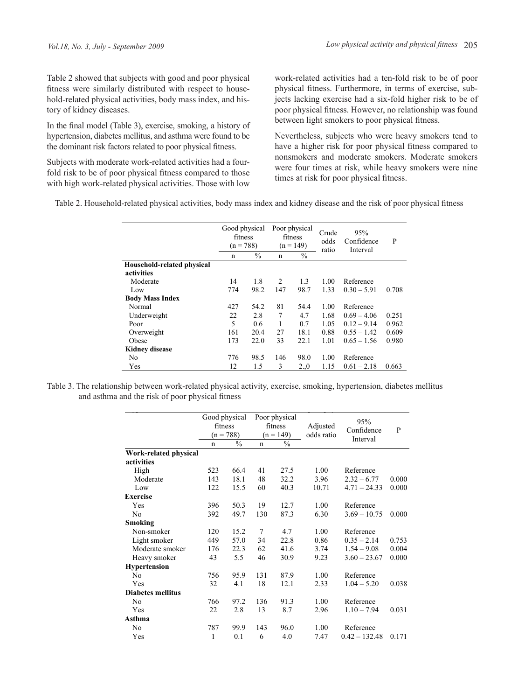Table 2 showed that subjects with good and poor physical fitness were similarly distributed with respect to household-related physical activities, body mass index, and history of kidney diseases.

In the final model (Table 3), exercise, smoking, a history of hypertension, diabetes mellitus, and asthma were found to be the dominant risk factors related to poor physical fitness.

Subjects with moderate work-related activities had a fourfold risk to be of poor physical fitness compared to those with high work-related physical activities. Those with low

work-related activities had a ten-fold risk to be of poor physical fitness. Furthermore, in terms of exercise, subjects lacking exercise had a six-fold higher risk to be of poor physical fitness. However, no relationship was found between light smokers to poor physical fitness.

Nevertheless, subjects who were heavy smokers tend to have a higher risk for poor physical fitness compared to nonsmokers and moderate smokers. Moderate smokers were four times at risk, while heavy smokers were nine times at risk for poor physical fitness.

Table 2. Household-related physical activities, body mass index and kidney disease and the risk of poor physical fitness Table 2. Household-related physical activities, body mass index and kidney disease and the

|                            |     | Good physical<br>fitness<br>$(n = 788)$ |     | Poor physical<br>fitness<br>$(n = 149)$ |       | 95%<br>Confidence<br>Interval | P     |
|----------------------------|-----|-----------------------------------------|-----|-----------------------------------------|-------|-------------------------------|-------|
|                            | n   | $\frac{0}{0}$                           | n   | $\frac{0}{0}$                           | ratio |                               |       |
| Household-related physical |     |                                         |     |                                         |       |                               |       |
| activities                 |     |                                         |     |                                         |       |                               |       |
| Moderate                   | 14  | 1.8                                     | 2   | 1.3                                     | 1.00  | Reference                     |       |
| Low                        | 774 | 98.2                                    | 147 | 98.7                                    | 1.33  | $0.30 - 5.91$                 | 0.708 |
| <b>Body Mass Index</b>     |     |                                         |     |                                         |       |                               |       |
| Normal                     | 427 | 54.2                                    | 81  | 54.4                                    | 1.00  | Reference                     |       |
| Underweight                | 22  | 2.8                                     | 7   | 4.7                                     | 1.68  | $0.69 - 4.06$                 | 0.251 |
| Poor                       | 5   | 0.6                                     |     | 0.7                                     | 1.05  | $0.12 - 9.14$                 | 0.962 |
| Overweight                 | 161 | 20.4                                    | 27  | 18.1                                    | 0.88  | $0.55 - 1.42$                 | 0.609 |
| Obese                      | 173 | 22.0                                    | 33  | 22.1                                    | 1.01  | $0.65 - 1.56$                 | 0.980 |
| <b>Kidney disease</b>      |     |                                         |     |                                         |       |                               |       |
| No                         | 776 | 98.5                                    | 146 | 98.0                                    | 1.00  | Reference                     |       |
| Yes                        | 12  | 1.5                                     | 3   | $2_{.0}$                                | 1.15  | $0.61 - 2.18$                 | 0.663 |
|                            |     |                                         |     |                                         |       |                               |       |

and asthma and the risk of poor physical fitness Table 3. The relationship between work-related physical activity, exercise, smoking, hypertension, diabetes mellitus

|                          |                          |                              | Poor physical |                              |            |                   |       |
|--------------------------|--------------------------|------------------------------|---------------|------------------------------|------------|-------------------|-------|
|                          | Good physical<br>fitness |                              | fitness       |                              | Adjusted   | 95%<br>Confidence | P     |
|                          | $\mathbf n$              | $(n = 788)$<br>$\frac{0}{0}$ | $\mathbf n$   | $(n = 149)$<br>$\frac{0}{0}$ | odds ratio | Interval          |       |
| Work-related physical    |                          |                              |               |                              |            |                   |       |
| activities               |                          |                              |               |                              |            |                   |       |
| High                     | 523                      | 66.4                         | 41            | 27.5                         | 1.00       | Reference         |       |
| Moderate                 | 143                      | 18.1                         | 48            | 32.2                         | 3.96       | $2.32 - 6.77$     | 0.000 |
| Low                      | 122                      | 15.5                         | 60            | 40.3                         | 10.71      | $4.71 - 24.33$    | 0.000 |
| <b>Exercise</b>          |                          |                              |               |                              |            |                   |       |
| Yes                      | 396                      | 50.3                         | 19            | 12.7                         | 1.00       | Reference         |       |
| N <sub>0</sub>           | 392                      | 49.7                         | 130           | 87.3                         | 6.30       | $3.69 - 10.75$    | 0.000 |
| Smoking                  |                          |                              |               |                              |            |                   |       |
| Non-smoker               | 120                      | 15.2                         | 7             | 4.7                          | 1.00       | Reference         |       |
| Light smoker             | 449                      | 57.0                         | 34            | 22.8                         | 0.86       | $0.35 - 2.14$     | 0.753 |
| Moderate smoker          | 176                      | 22.3                         | 62            | 41.6                         | 3.74       | $1.54 - 9.08$     | 0.004 |
| Heavy smoker             | 43                       | 5.5                          | 46            | 30.9                         | 9.23       | $3.60 - 23.67$    | 0.000 |
| <b>Hypertension</b>      |                          |                              |               |                              |            |                   |       |
| No                       | 756                      | 95.9                         | 131           | 87.9                         | 1.00       | Reference         |       |
| Yes                      | 32                       | 4.1                          | 18            | 12.1                         | 2.33       | $1.04 - 5.20$     | 0.038 |
| <b>Diabetes mellitus</b> |                          |                              |               |                              |            |                   |       |
| N <sub>0</sub>           | 766                      | 97.2                         | 136           | 91.3                         | 1.00       | Reference         |       |
| Yes                      | 22                       | 2.8                          | 13            | 8.7                          | 2.96       | $1.10 - 7.94$     | 0.031 |
| Asthma                   |                          |                              |               |                              |            |                   |       |
| N <sub>0</sub>           | 787                      | 99.9                         | 143           | 96.0                         | 1.00       | Reference         |       |
| Yes                      | 1                        | 0.1                          | 6             | 4.0                          | 7.47       | $0.42 - 132.48$   | 0.171 |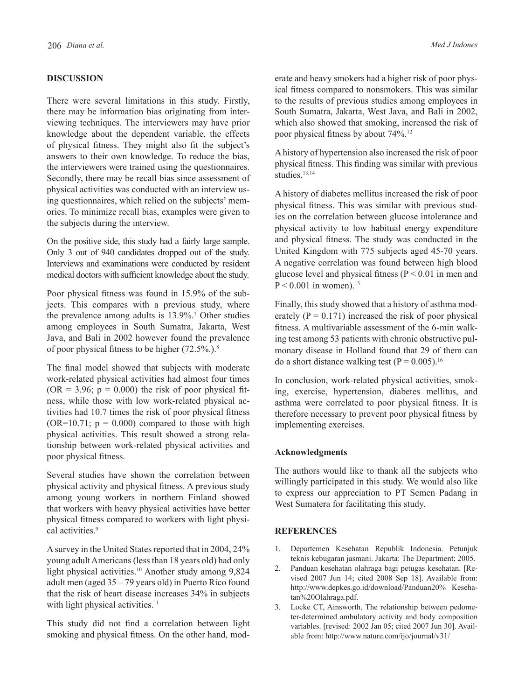#### **DISCUSSION**

There were several limitations in this study. Firstly, there may be information bias originating from interviewing techniques. The interviewers may have prior knowledge about the dependent variable, the effects of physical fitness. They might also fit the subject's answers to their own knowledge. To reduce the bias, the interviewers were trained using the questionnaires. Secondly, there may be recall bias since assessment of physical activities was conducted with an interview using questionnaires, which relied on the subjects' memories. To minimize recall bias, examples were given to the subjects during the interview.

On the positive side, this study had a fairly large sample. Only 3 out of 940 candidates dropped out of the study. Interviews and examinations were conducted by resident medical doctors with sufficient knowledge about the study.

Poor physical fitness was found in 15.9% of the subjects. This compares with a previous study, where the prevalence among adults is 13.9%.<sup>7</sup> Other studies among employees in South Sumatra, Jakarta, West Java, and Bali in 2002 however found the prevalence of poor physical fitness to be higher  $(72.5\%)$ .<sup>8</sup>

The final model showed that subjects with moderate work-related physical activities had almost four times  $(OR = 3.96; p = 0.000)$  the risk of poor physical fitness, while those with low work-related physical activities had 10.7 times the risk of poor physical fitness  $(OR=10.71; p = 0.000)$  compared to those with high physical activities. This result showed a strong relationship between work-related physical activities and poor physical fitness.

Several studies have shown the correlation between physical activity and physical fitness. A previous study among young workers in northern Finland showed that workers with heavy physical activities have better physical fitness compared to workers with light physical activities.<sup>9</sup>

A survey in the United States reported that in 2004, 24% young adult Americans (less than 18 years old) had only light physical activities.<sup>10</sup> Another study among 9,824 adult men (aged 35 – 79 years old) in Puerto Rico found that the risk of heart disease increases 34% in subjects with light physical activities.<sup>11</sup>

This study did not find a correlation between light smoking and physical fitness. On the other hand, moderate and heavy smokers had a higher risk of poor physical fitness compared to nonsmokers. This was similar to the results of previous studies among employees in South Sumatra, Jakarta, West Java, and Bali in 2002, which also showed that smoking, increased the risk of poor physical fitness by about 74%.12

A history of hypertension also increased the risk of poor physical fitness. This finding was similar with previous studies.<sup>13,14</sup>

A history of diabetes mellitus increased the risk of poor physical fitness. This was similar with previous studies on the correlation between glucose intolerance and physical activity to low habitual energy expenditure and physical fitness. The study was conducted in the United Kingdom with 775 subjects aged 45-70 years. A negative correlation was found between high blood glucose level and physical fitness ( $P \le 0.01$  in men and  $P < 0.001$  in women)  $15$ 

Finally, this study showed that a history of asthma moderately  $(P = 0.171)$  increased the risk of poor physical fitness. A multivariable assessment of the 6-min walking test among 53 patients with chronic obstructive pulmonary disease in Holland found that 29 of them can do a short distance walking test  $(P = 0.005)$ .<sup>16</sup>

In conclusion, work-related physical activities, smoking, exercise, hypertension, diabetes mellitus, and asthma were correlated to poor physical fitness. It is therefore necessary to prevent poor physical fitness by implementing exercises.

### **Acknowledgments**

The authors would like to thank all the subjects who willingly participated in this study. We would also like to express our appreciation to PT Semen Padang in West Sumatera for facilitating this study.

## **REFERENCES**

- 1. Departemen Kesehatan Republik Indonesia. Petunjuk teknis kebugaran jasmani. Jakarta: The Department; 2005.
- 2. Panduan kesehatan olahraga bagi petugas kesehatan. [Revised 2007 Jun 14; cited 2008 Sep 18]. Available from: http://www.depkes.go.id/download/Panduan20% Kesehatan%20Olahraga.pdf.
- 3. Locke CT, Ainsworth. The relationship between pedometer-determined ambulatory activity and body composition variables. [revised: 2002 Jan 05; cited 2007 Jun 30]. Available from: http://www.nature.com/ijo/journal/v31/